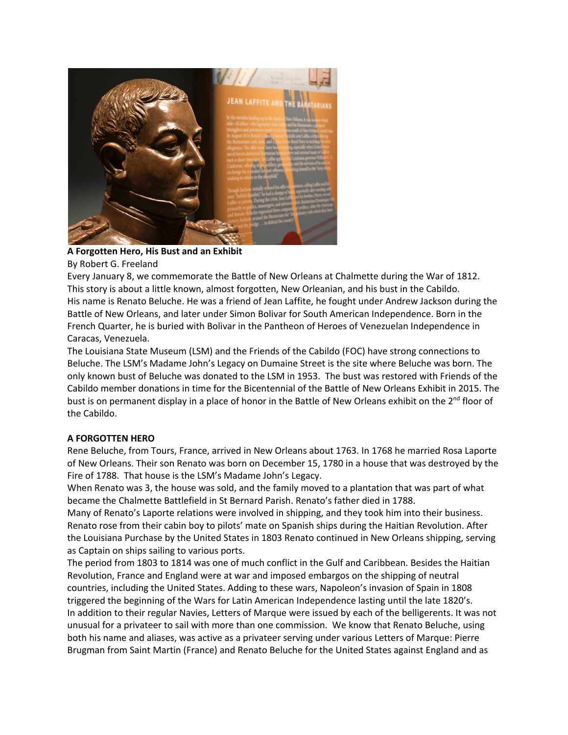

## **A Forgotten Hero, His Bust and an Exhibit**

By Robert G. Freeland

Every January 8, we commemorate the Battle of New Orleans at Chalmette during the War of 1812. This story is about a little known, almost forgotten, New Orleanian, and his bust in the Cabildo. His name is Renato Beluche. He was a friend of Jean Laffite, he fought under Andrew Jackson during the Battle of New Orleans, and later under Simon Bolivar for South American Independence. Born in the French Quarter, he is buried with Bolivar in the Pantheon of Heroes of Venezuelan Independence in Caracas, Venezuela.

The Louisiana State Museum (LSM) and the Friends of the Cabildo (FOC) have strong connections to Beluche. The LSM's Madame John's Legacy on Dumaine Street is the site where Beluche was born. The only known bust of Beluche was donated to the LSM in 1953. The bust was restored with Friends of the Cabildo member donations in time for the Bicentennial of the Battle of New Orleans Exhibit in 2015. The bust is on permanent display in a place of honor in the Battle of New Orleans exhibit on the 2<sup>nd</sup> floor of the Cabildo.

## **A FORGOTTEN HERO**

Rene Beluche, from Tours, France, arrived in New Orleans about 1763. In 1768 he married Rosa Laporte of New Orleans. Their son Renato was born on December 15, 1780 in a house that was destroyed by the Fire of 1788. That house is the LSM's Madame John's Legacy.

When Renato was 3, the house was sold, and the family moved to a plantation that was part of what became the Chalmette Battlefield in St Bernard Parish. Renato's father died in 1788.

Many of Renato's Laporte relations were involved in shipping, and they took him into their business. Renato rose from their cabin boy to pilots' mate on Spanish ships during the Haitian Revolution. After the Louisiana Purchase by the United States in 1803 Renato continued in New Orleans shipping, serving as Captain on ships sailing to various ports.

The period from 1803 to 1814 was one of much conflict in the Gulf and Caribbean. Besides the Haitian Revolution, France and England were at war and imposed embargos on the shipping of neutral countries, including the United States. Adding to these wars, Napoleon's invasion of Spain in 1808 triggered the beginning of the Wars for Latin American Independence lasting until the late 1820's. In addition to their regular Navies, Letters of Marque were issued by each of the belligerents. It was not unusual for a privateer to sail with more than one commission. We know that Renato Beluche, using both his name and aliases, was active as a privateer serving under various Letters of Marque: Pierre Brugman from Saint Martin (France) and Renato Beluche for the United States against England and as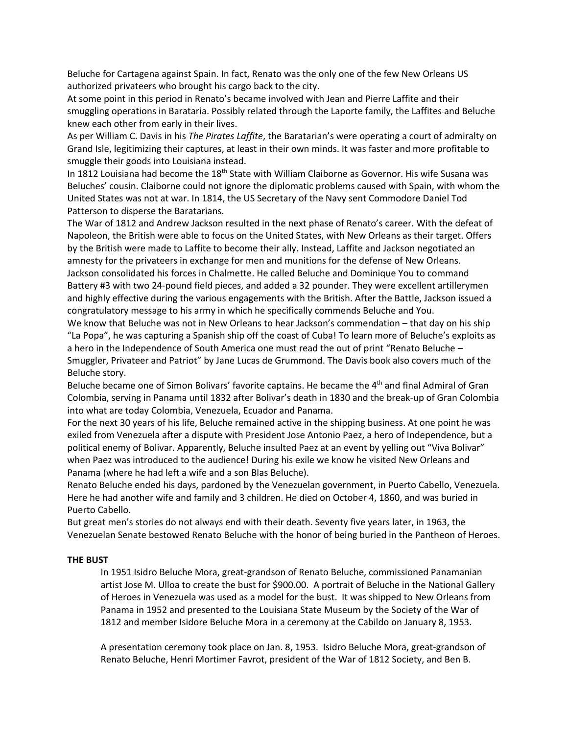Beluche for Cartagena against Spain. In fact, Renato was the only one of the few New Orleans US authorized privateers who brought his cargo back to the city.

At some point in this period in Renato's became involved with Jean and Pierre Laffite and their smuggling operations in Barataria. Possibly related through the Laporte family, the Laffites and Beluche knew each other from early in their lives.

As per William C. Davis in his *The Pirates Laffite*, the Baratarian's were operating a court of admiralty on Grand Isle, legitimizing their captures, at least in their own minds. It was faster and more profitable to smuggle their goods into Louisiana instead.

In 1812 Louisiana had become the 18<sup>th</sup> State with William Claiborne as Governor. His wife Susana was Beluches' cousin. Claiborne could not ignore the diplomatic problems caused with Spain, with whom the United States was not at war. In 1814, the US Secretary of the Navy sent Commodore Daniel Tod Patterson to disperse the Baratarians.

The War of 1812 and Andrew Jackson resulted in the next phase of Renato's career. With the defeat of Napoleon, the British were able to focus on the United States, with New Orleans as their target. Offers by the British were made to Laffite to become their ally. Instead, Laffite and Jackson negotiated an amnesty for the privateers in exchange for men and munitions for the defense of New Orleans. Jackson consolidated his forces in Chalmette. He called Beluche and Dominique You to command Battery #3 with two 24-pound field pieces, and added a 32 pounder. They were excellent artillerymen and highly effective during the various engagements with the British. After the Battle, Jackson issued a congratulatory message to his army in which he specifically commends Beluche and You.

We know that Beluche was not in New Orleans to hear Jackson's commendation – that day on his ship "La Popa", he was capturing a Spanish ship off the coast of Cuba! To learn more of Beluche's exploits as a hero in the Independence of South America one must read the out of print "Renato Beluche – Smuggler, Privateer and Patriot" by Jane Lucas de Grummond. The Davis book also covers much of the Beluche story.

Beluche became one of Simon Bolivars' favorite captains. He became the 4<sup>th</sup> and final Admiral of Gran Colombia, serving in Panama until 1832 after Bolivar's death in 1830 and the break-up of Gran Colombia into what are today Colombia, Venezuela, Ecuador and Panama.

For the next 30 years of his life, Beluche remained active in the shipping business. At one point he was exiled from Venezuela after a dispute with President Jose Antonio Paez, a hero of Independence, but a political enemy of Bolivar. Apparently, Beluche insulted Paez at an event by yelling out "Viva Bolivar" when Paez was introduced to the audience! During his exile we know he visited New Orleans and Panama (where he had left a wife and a son Blas Beluche).

Renato Beluche ended his days, pardoned by the Venezuelan government, in Puerto Cabello, Venezuela. Here he had another wife and family and 3 children. He died on October 4, 1860, and was buried in Puerto Cabello.

But great men's stories do not always end with their death. Seventy five years later, in 1963, the Venezuelan Senate bestowed Renato Beluche with the honor of being buried in the Pantheon of Heroes.

## **THE BUST**

In 1951 Isidro Beluche Mora, great-grandson of Renato Beluche, commissioned Panamanian artist Jose M. Ulloa to create the bust for \$900.00. A portrait of Beluche in the National Gallery of Heroes in Venezuela was used as a model for the bust. It was shipped to New Orleans from Panama in 1952 and presented to the Louisiana State Museum by the Society of the War of 1812 and member Isidore Beluche Mora in a ceremony at the Cabildo on January 8, 1953.

A presentation ceremony took place on Jan. 8, 1953. Isidro Beluche Mora, great-grandson of Renato Beluche, Henri Mortimer Favrot, president of the War of 1812 Society, and Ben B.